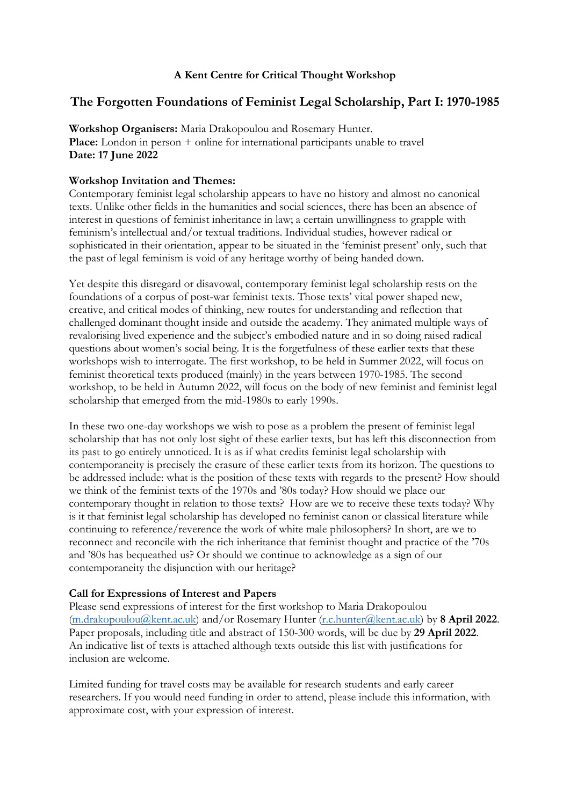## **A Kent Centre for Critical Thought Workshop**

# **The Forgotten Foundations of Feminist Legal Scholarship, Part I: 1970-1985**

**Workshop Organisers:** Maria Drakopoulou and Rosemary Hunter. **Place:** London in person + online for international participants unable to travel **Date: 17 June 2022**

## **Workshop Invitation and Themes:**

Contemporary feminist legal scholarship appears to have no history and almost no canonical texts. Unlike other fields in the humanities and social sciences, there has been an absence of interest in questions of feminist inheritance in law; a certain unwillingness to grapple with feminism's intellectual and/or textual traditions. Individual studies, however radical or sophisticated in their orientation, appear to be situated in the 'feminist present' only, such that the past of legal feminism is void of any heritage worthy of being handed down.

Yet despite this disregard or disavowal, contemporary feminist legal scholarship rests on the foundations of a corpus of post-war feminist texts. Those texts' vital power shaped new, creative, and critical modes of thinking, new routes for understanding and reflection that challenged dominant thought inside and outside the academy. They animated multiple ways of revalorising lived experience and the subject's embodied nature and in so doing raised radical questions about women's social being. It is the forgetfulness of these earlier texts that these workshops wish to interrogate. The first workshop, to be held in Summer 2022, will focus on feminist theoretical texts produced (mainly) in the years between 1970-1985. The second workshop, to be held in Autumn 2022, will focus on the body of new feminist and feminist legal scholarship that emerged from the mid-1980s to early 1990s.

In these two one-day workshops we wish to pose as a problem the present of feminist legal scholarship that has not only lost sight of these earlier texts, but has left this disconnection from its past to go entirely unnoticed. It is as if what credits feminist legal scholarship with contemporaneity is precisely the erasure of these earlier texts from its horizon. The questions to be addressed include: what is the position of these texts with regards to the present? How should we think of the feminist texts of the 1970s and '80s today? How should we place our contemporary thought in relation to those texts? How are we to receive these texts today? Why is it that feminist legal scholarship has developed no feminist canon or classical literature while continuing to reference/reverence the work of white male philosophers? In short, are we to reconnect and reconcile with the rich inheritance that feminist thought and practice of the '70s and '80s has bequeathed us? Or should we continue to acknowledge as a sign of our contemporaneity the disjunction with our heritage?

#### **Call for Expressions of Interest and Papers**

Please send expressions of interest for the first workshop to Maria Drakopoulou [\(m.drakopoulou@kent.ac.uk\)](mailto:m.drakopoulou@kent.ac.uk) and/or Rosemary Hunter [\(r.c.hunter@kent.ac.uk\)](mailto:r.c.hunter@kent.ac.uk) by **8 April 2022**. Paper proposals, including title and abstract of 150-300 words, will be due by **29 April 2022**. An indicative list of texts is attached although texts outside this list with justifications for inclusion are welcome.

Limited funding for travel costs may be available for research students and early career researchers. If you would need funding in order to attend, please include this information, with approximate cost, with your expression of interest.